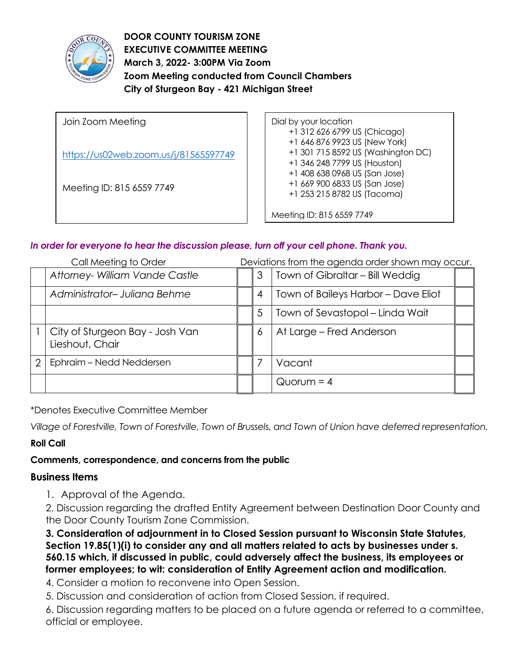

**DOOR COUNTY TOURISM ZONE EXECUTIVE COMMITTEE MEETING March 3, 2022- 3:00PM Via Zoom Zoom Meeting conducted from Council Chambers City of Sturgeon Bay - 421 Michigan Street** 

Join Zoom Meeting <https://us02web.zoom.us/j/81565597749> Meeting ID: 815 6559 7749 Dial by your location +1 312 626 6799 US (Chicago) +1 646 876 9923 US (New York) +1 301 715 8592 US (Washington DC) +1 346 248 7799 US (Houston) +1 408 638 0968 US (San Jose) +1 669 900 6833 US (San Jose) +1 253 215 8782 US (Tacoma) Meeting ID: 815 6559 7749

# *In order for everyone to hear the discussion please, turn off your cell phone. Thank you.*

| Call Meeting to Order |                                                    | Deviations from the agenda order shown may occur. |   |                                     |  |
|-----------------------|----------------------------------------------------|---------------------------------------------------|---|-------------------------------------|--|
|                       | Attorney- William Vande Castle                     |                                                   | 3 | Town of Gibraltar - Bill Weddig     |  |
|                       | Administrator-Juliana Behme                        |                                                   | 4 | Town of Baileys Harbor - Dave Eliot |  |
|                       |                                                    |                                                   | 5 | Town of Sevastopol – Linda Wait     |  |
|                       | City of Sturgeon Bay - Josh Van<br>Lieshout, Chair |                                                   | 6 | At Large - Fred Anderson            |  |
| $\mathcal{P}$         | Ephraim - Nedd Neddersen                           |                                                   |   | Vacant                              |  |
|                       |                                                    |                                                   |   | $Quorum = 4$                        |  |

\*Denotes Executive Committee Member

*Village of Forestville, Town of Forestville, Town of Brussels, and Town of Union have deferred representation.*

## **Roll Call**

## **Comments, correspondence, and concerns from the public**

### **Business Items**

1. Approval of the Agenda.

2. Discussion regarding the drafted Entity Agreement between Destination Door County and the Door County Tourism Zone Commission.

**3. Consideration of adjournment in to Closed Session pursuant to Wisconsin State Statutes, Section 19.85(1)(i) to consider any and all matters related to acts by businesses under s. 560.15 which, if discussed in public, could adversely affect the business, its employees or former employees; to wit: consideration of Entity Agreement action and modification.** 

4. Consider a motion to reconvene into Open Session.

5. Discussion and consideration of action from Closed Session, if required.

6. Discussion regarding matters to be placed on a future agenda or referred to a committee, official or employee.